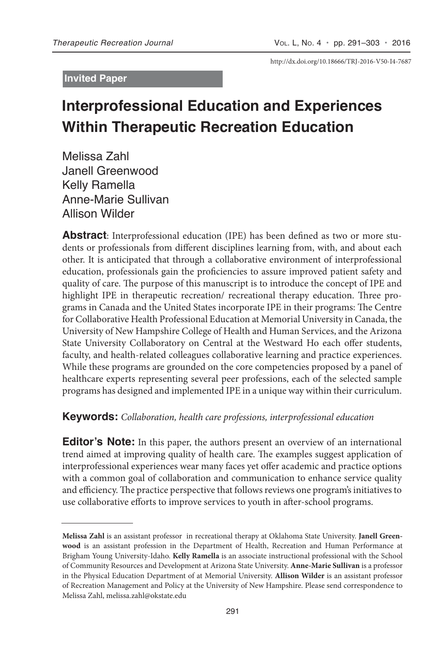#### **Invited Paper**

http://dx.doi.org/10.18666/TRJ-2016-V50-I4-7687

# **Interprofessional Education and Experiences Within Therapeutic Recreation Education**

Melissa Zahl Janell Greenwood Kelly Ramella Anne-Marie Sullivan Allison Wilder

**Abstract**: Interprofessional education (IPE) has been defined as two or more students or professionals from different disciplines learning from, with, and about each other. It is anticipated that through a collaborative environment of interprofessional education, professionals gain the proficiencies to assure improved patient safety and quality of care. The purpose of this manuscript is to introduce the concept of IPE and highlight IPE in therapeutic recreation/ recreational therapy education. Three programs in Canada and the United States incorporate IPE in their programs: The Centre for Collaborative Health Professional Education at Memorial University in Canada, the University of New Hampshire College of Health and Human Services, and the Arizona State University Collaboratory on Central at the Westward Ho each offer students, faculty, and health-related colleagues collaborative learning and practice experiences. While these programs are grounded on the core competencies proposed by a panel of healthcare experts representing several peer professions, each of the selected sample programs has designed and implemented IPE in a unique way within their curriculum.

## **Keywords:** *Collaboration, health care professions, interprofessional education*

**Editor's Note:** In this paper, the authors present an overview of an international trend aimed at improving quality of health care. The examples suggest application of interprofessional experiences wear many faces yet offer academic and practice options with a common goal of collaboration and communication to enhance service quality and efficiency. The practice perspective that follows reviews one program's initiatives to use collaborative efforts to improve services to youth in after-school programs.

**Melissa Zahl** is an assistant professor in recreational therapy at Oklahoma State University. **Janell Greenwood** is an assistant profession in the Department of Health, Recreation and Human Performance at Brigham Young University-Idaho. **Kelly Ramella** is an associate instructional professional with the School of Community Resources and Development at Arizona State University. **Anne-Marie Sullivan** is a professor in the Physical Education Department of at Memorial University. **Allison Wilder** is an assistant professor of Recreation Management and Policy at the University of New Hampshire. Please send correspondence to Melissa Zahl, melissa.zahl@okstate.edu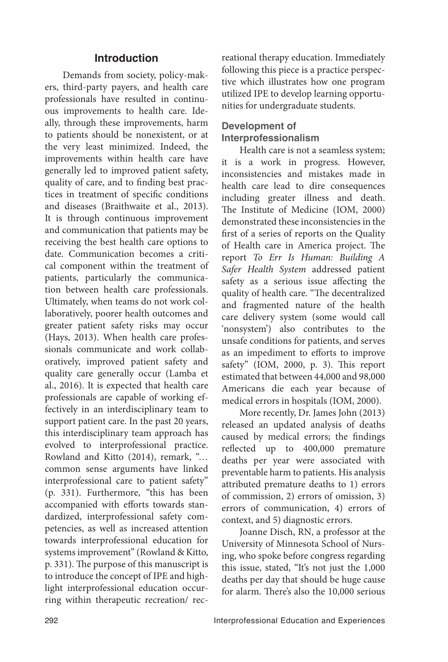## **Introduction**

Demands from society, policy-makers, third-party payers, and health care professionals have resulted in continuous improvements to health care. Ideally, through these improvements, harm to patients should be nonexistent, or at the very least minimized. Indeed, the improvements within health care have generally led to improved patient safety, quality of care, and to finding best practices in treatment of specific conditions and diseases (Braithwaite et al., 2013). It is through continuous improvement and communication that patients may be receiving the best health care options to date. Communication becomes a critical component within the treatment of patients, particularly the communication between health care professionals. Ultimately, when teams do not work collaboratively, poorer health outcomes and greater patient safety risks may occur (Hays, 2013). When health care professionals communicate and work collaboratively, improved patient safety and quality care generally occur (Lamba et al., 2016). It is expected that health care professionals are capable of working effectively in an interdisciplinary team to support patient care. In the past 20 years, this interdisciplinary team approach has evolved to interprofessional practice. Rowland and Kitto (2014), remark, "… common sense arguments have linked interprofessional care to patient safety" (p. 331). Furthermore, "this has been accompanied with efforts towards standardized, interprofessional safety competencies, as well as increased attention towards interprofessional education for systems improvement" (Rowland & Kitto, p. 331). The purpose of this manuscript is to introduce the concept of IPE and highlight interprofessional education occurring within therapeutic recreation/ recreational therapy education. Immediately following this piece is a practice perspective which illustrates how one program utilized IPE to develop learning opportunities for undergraduate students.

# **Development of Interprofessionalism**

Health care is not a seamless system; it is a work in progress. However, inconsistencies and mistakes made in health care lead to dire consequences including greater illness and death. The Institute of Medicine (IOM, 2000) demonstrated these inconsistencies in the first of a series of reports on the Quality of Health care in America project. The report *To Err Is Human: Building A Safer Health System* addressed patient safety as a serious issue affecting the quality of health care. "The decentralized and fragmented nature of the health care delivery system (some would call 'nonsystem') also contributes to the unsafe conditions for patients, and serves as an impediment to efforts to improve safety" (IOM, 2000, p. 3). This report estimated that between 44,000 and 98,000 Americans die each year because of medical errors in hospitals (IOM, 2000).

More recently, Dr. James John (2013) released an updated analysis of deaths caused by medical errors; the findings reflected up to 400,000 premature deaths per year were associated with preventable harm to patients. His analysis attributed premature deaths to 1) errors of commission, 2) errors of omission, 3) errors of communication, 4) errors of context, and 5) diagnostic errors.

Joanne Disch, RN, a professor at the University of Minnesota School of Nursing, who spoke before congress regarding this issue, stated, "It's not just the 1,000 deaths per day that should be huge cause for alarm. There's also the 10,000 serious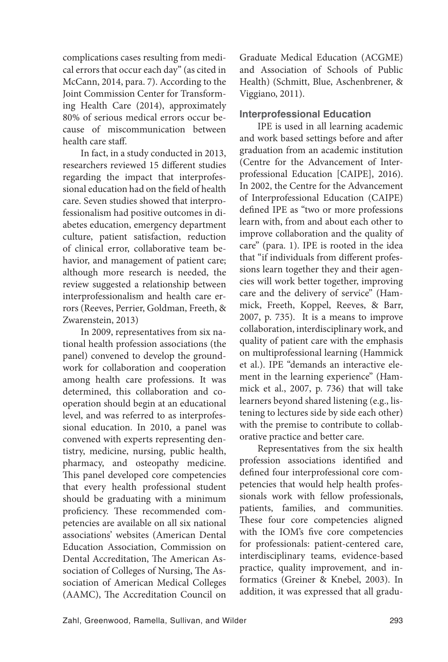complications cases resulting from medical errors that occur each day" (as cited in McCann, 2014, para. 7). According to the Joint Commission Center for Transforming Health Care (2014), approximately 80% of serious medical errors occur because of miscommunication between health care staff.

In fact, in a study conducted in 2013, researchers reviewed 15 different studies regarding the impact that interprofessional education had on the field of health care. Seven studies showed that interprofessionalism had positive outcomes in diabetes education, emergency department culture, patient satisfaction, reduction of clinical error, collaborative team behavior, and management of patient care; although more research is needed, the review suggested a relationship between interprofessionalism and health care errors (Reeves, Perrier, Goldman, Freeth, & Zwarenstein, 2013)

In 2009, representatives from six national health profession associations (the panel) convened to develop the groundwork for collaboration and cooperation among health care professions. It was determined, this collaboration and cooperation should begin at an educational level, and was referred to as interprofessional education. In 2010, a panel was convened with experts representing dentistry, medicine, nursing, public health, pharmacy, and osteopathy medicine. This panel developed core competencies that every health professional student should be graduating with a minimum proficiency. These recommended competencies are available on all six national associations' websites (American Dental Education Association, Commission on Dental Accreditation, The American Association of Colleges of Nursing, The Association of American Medical Colleges (AAMC), The Accreditation Council on Graduate Medical Education (ACGME) and Association of Schools of Public Health) (Schmitt, Blue, Aschenbrener, & Viggiano, 2011).

#### **Interprofessional Education**

IPE is used in all learning academic and work based settings before and after graduation from an academic institution (Centre for the Advancement of Interprofessional Education [CAIPE], 2016). In 2002, the Centre for the Advancement of Interprofessional Education (CAIPE) defined IPE as "two or more professions learn with, from and about each other to improve collaboration and the quality of care" (para. 1). IPE is rooted in the idea that "if individuals from different professions learn together they and their agencies will work better together, improving care and the delivery of service" (Hammick, Freeth, Koppel, Reeves, & Barr, 2007, p. 735). It is a means to improve collaboration, interdisciplinary work, and quality of patient care with the emphasis on multiprofessional learning (Hammick et al.). IPE "demands an interactive element in the learning experience" (Hammick et al., 2007, p. 736) that will take learners beyond shared listening (e.g., listening to lectures side by side each other) with the premise to contribute to collaborative practice and better care.

Representatives from the six health profession associations identified and defined four interprofessional core competencies that would help health professionals work with fellow professionals, patients, families, and communities. These four core competencies aligned with the IOM's five core competencies for professionals: patient-centered care, interdisciplinary teams, evidence-based practice, quality improvement, and informatics (Greiner & Knebel, 2003). In addition, it was expressed that all gradu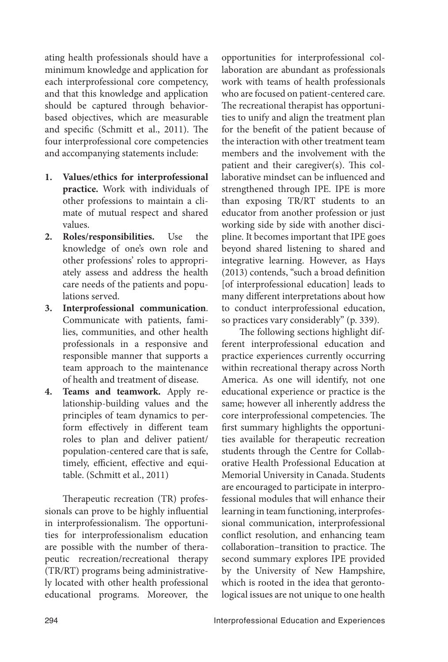ating health professionals should have a minimum knowledge and application for each interprofessional core competency, and that this knowledge and application should be captured through behaviorbased objectives, which are measurable and specific (Schmitt et al., 2011). The four interprofessional core competencies and accompanying statements include:

- **1. Values/ethics for interprofessional practice.** Work with individuals of other professions to maintain a climate of mutual respect and shared values.
- **2. Roles/responsibilities.** Use the knowledge of one's own role and other professions' roles to appropriately assess and address the health care needs of the patients and populations served.
- **3. Interprofessional communication**. Communicate with patients, families, communities, and other health professionals in a responsive and responsible manner that supports a team approach to the maintenance of health and treatment of disease.
- **4. Teams and teamwork.** Apply relationship-building values and the principles of team dynamics to perform effectively in different team roles to plan and deliver patient/ population-centered care that is safe, timely, efficient, effective and equitable. (Schmitt et al., 2011)

Therapeutic recreation (TR) professionals can prove to be highly influential in interprofessionalism. The opportunities for interprofessionalism education are possible with the number of therapeutic recreation/recreational therapy (TR/RT) programs being administratively located with other health professional educational programs. Moreover, the opportunities for interprofessional collaboration are abundant as professionals work with teams of health professionals who are focused on patient-centered care. The recreational therapist has opportunities to unify and align the treatment plan for the benefit of the patient because of the interaction with other treatment team members and the involvement with the patient and their caregiver(s). This collaborative mindset can be influenced and strengthened through IPE. IPE is more than exposing TR/RT students to an educator from another profession or just working side by side with another discipline. It becomes important that IPE goes beyond shared listening to shared and integrative learning. However, as Hays (2013) contends, "such a broad definition [of interprofessional education] leads to many different interpretations about how to conduct interprofessional education, so practices vary considerably" (p. 339).

The following sections highlight different interprofessional education and practice experiences currently occurring within recreational therapy across North America. As one will identify, not one educational experience or practice is the same; however all inherently address the core interprofessional competencies. The first summary highlights the opportunities available for therapeutic recreation students through the Centre for Collaborative Health Professional Education at Memorial University in Canada. Students are encouraged to participate in interprofessional modules that will enhance their learning in team functioning, interprofessional communication, interprofessional conflict resolution, and enhancing team collaboration–transition to practice. The second summary explores IPE provided by the University of New Hampshire, which is rooted in the idea that gerontological issues are not unique to one health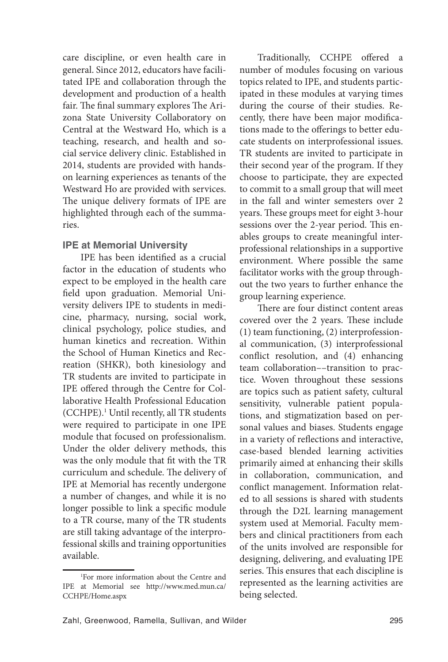care discipline, or even health care in general. Since 2012, educators have facilitated IPE and collaboration through the development and production of a health fair. The final summary explores The Arizona State University Collaboratory on Central at the Westward Ho, which is a teaching, research, and health and social service delivery clinic. Established in 2014, students are provided with handson learning experiences as tenants of the Westward Ho are provided with services. The unique delivery formats of IPE are highlighted through each of the summaries.

## **IPE at Memorial University**

IPE has been identified as a crucial factor in the education of students who expect to be employed in the health care field upon graduation. Memorial University delivers IPE to students in medicine, pharmacy, nursing, social work, clinical psychology, police studies, and human kinetics and recreation. Within the School of Human Kinetics and Recreation (SHKR), both kinesiology and TR students are invited to participate in IPE offered through the Centre for Collaborative Health Professional Education (CCHPE).1 Until recently, all TR students were required to participate in one IPE module that focused on professionalism. Under the older delivery methods, this was the only module that fit with the TR curriculum and schedule. The delivery of IPE at Memorial has recently undergone a number of changes, and while it is no longer possible to link a specific module to a TR course, many of the TR students are still taking advantage of the interprofessional skills and training opportunities available.

Traditionally, CCHPE offered a number of modules focusing on various topics related to IPE, and students participated in these modules at varying times during the course of their studies. Recently, there have been major modifications made to the offerings to better educate students on interprofessional issues. TR students are invited to participate in their second year of the program. If they choose to participate, they are expected to commit to a small group that will meet in the fall and winter semesters over 2 years. These groups meet for eight 3-hour sessions over the 2-year period. This enables groups to create meaningful interprofessional relationships in a supportive environment. Where possible the same facilitator works with the group throughout the two years to further enhance the group learning experience.

There are four distinct content areas covered over the 2 years. These include (1) team functioning, (2) interprofessional communication, (3) interprofessional conflict resolution, and (4) enhancing team collaboration––transition to practice. Woven throughout these sessions are topics such as patient safety, cultural sensitivity, vulnerable patient populations, and stigmatization based on personal values and biases. Students engage in a variety of reflections and interactive, case-based blended learning activities primarily aimed at enhancing their skills in collaboration, communication, and conflict management. Information related to all sessions is shared with students through the D2L learning management system used at Memorial. Faculty members and clinical practitioners from each of the units involved are responsible for designing, delivering, and evaluating IPE series. This ensures that each discipline is represented as the learning activities are being selected.

<sup>1</sup> For more information about the Centre and IPE at Memorial see http://www.med.mun.ca/ CCHPE/Home.aspx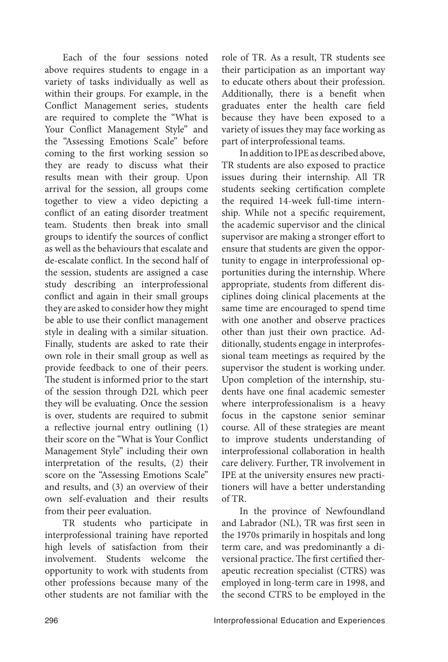Each of the four sessions noted above requires students to engage in a variety of tasks individually as well as within their groups. For example, in the Conflict Management series, students are required to complete the "What is Your Conflict Management Style" and the "Assessing Emotions Scale" before coming to the first working session so they are ready to discuss what their results mean with their group. Upon arrival for the session, all groups come together to view a video depicting a conflict of an eating disorder treatment team. Students then break into small groups to identify the sources of conflict as well as the behaviours that escalate and de-escalate conflict. In the second half of the session, students are assigned a case study describing an interprofessional conflict and again in their small groups they are asked to consider how they might be able to use their conflict management style in dealing with a similar situation. Finally, students are asked to rate their own role in their small group as well as provide feedback to one of their peers. The student is informed prior to the start of the session through D2L which peer they will be evaluating. Once the session is over, students are required to submit a reflective journal entry outlining (1) their score on the "What is Your Conflict Management Style" including their own interpretation of the results, (2) their score on the "Assessing Emotions Scale" and results, and (3) an overview of their own self-evaluation and their results from their peer evaluation.

TR students who participate in interprofessional training have reported high levels of satisfaction from their involvement. Students welcome the opportunity to work with students from other professions because many of the other students are not familiar with the role of TR. As a result, TR students see their participation as an important way to educate others about their profession. Additionally, there is a benefit when graduates enter the health care field because they have been exposed to a variety of issues they may face working as part of interprofessional teams.

In addition to IPE as described above, TR students are also exposed to practice issues during their internship. All TR students seeking certification complete the required 14-week full-time internship. While not a specific requirement, the academic supervisor and the clinical supervisor are making a stronger effort to ensure that students are given the opportunity to engage in interprofessional opportunities during the internship. Where appropriate, students from different disciplines doing clinical placements at the same time are encouraged to spend time with one another and observe practices other than just their own practice. Additionally, students engage in interprofessional team meetings as required by the supervisor the student is working under. Upon completion of the internship, students have one final academic semester where interprofessionalism is a heavy focus in the capstone senior seminar course. All of these strategies are meant to improve students understanding of interprofessional collaboration in health care delivery. Further, TR involvement in IPE at the university ensures new practitioners will have a better understanding of TR.

In the province of Newfoundland and Labrador (NL), TR was first seen in the 1970s primarily in hospitals and long term care, and was predominantly a diversional practice. The first certified therapeutic recreation specialist (CTRS) was employed in long-term care in 1998, and the second CTRS to be employed in the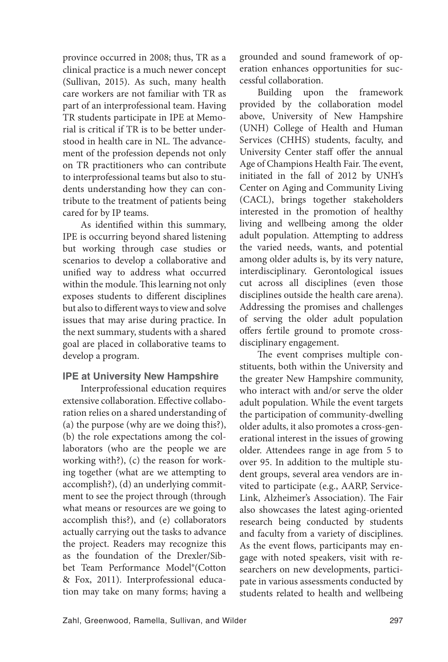province occurred in 2008; thus, TR as a clinical practice is a much newer concept (Sullivan, 2015). As such, many health care workers are not familiar with TR as part of an interprofessional team. Having TR students participate in IPE at Memorial is critical if TR is to be better understood in health care in NL. The advancement of the profession depends not only on TR practitioners who can contribute to interprofessional teams but also to students understanding how they can contribute to the treatment of patients being cared for by IP teams.

As identified within this summary, IPE is occurring beyond shared listening but working through case studies or scenarios to develop a collaborative and unified way to address what occurred within the module. This learning not only exposes students to different disciplines but also to different ways to view and solve issues that may arise during practice. In the next summary, students with a shared goal are placed in collaborative teams to develop a program.

# **IPE at University New Hampshire**

Interprofessional education requires extensive collaboration. Effective collaboration relies on a shared understanding of (a) the purpose (why are we doing this?), (b) the role expectations among the collaborators (who are the people we are working with?), (c) the reason for working together (what are we attempting to accomplish?), (d) an underlying commitment to see the project through (through what means or resources are we going to accomplish this?), and (e) collaborators actually carrying out the tasks to advance the project. Readers may recognize this as the foundation of the Drexler/Sibbet Team Performance Model®(Cotton & Fox, 2011). Interprofessional education may take on many forms; having a grounded and sound framework of operation enhances opportunities for successful collaboration.

Building upon the framework provided by the collaboration model above, University of New Hampshire (UNH) College of Health and Human Services (CHHS) students, faculty, and University Center staff offer the annual Age of Champions Health Fair. The event, initiated in the fall of 2012 by UNH's Center on Aging and Community Living (CACL), brings together stakeholders interested in the promotion of healthy living and wellbeing among the older adult population. Attempting to address the varied needs, wants, and potential among older adults is, by its very nature, interdisciplinary. Gerontological issues cut across all disciplines (even those disciplines outside the health care arena). Addressing the promises and challenges of serving the older adult population offers fertile ground to promote crossdisciplinary engagement.

The event comprises multiple constituents, both within the University and the greater New Hampshire community, who interact with and/or serve the older adult population. While the event targets the participation of community-dwelling older adults, it also promotes a cross-generational interest in the issues of growing older. Attendees range in age from 5 to over 95. In addition to the multiple student groups, several area vendors are invited to participate (e.g., AARP, Service-Link, Alzheimer's Association). The Fair also showcases the latest aging-oriented research being conducted by students and faculty from a variety of disciplines. As the event flows, participants may engage with noted speakers, visit with researchers on new developments, participate in various assessments conducted by students related to health and wellbeing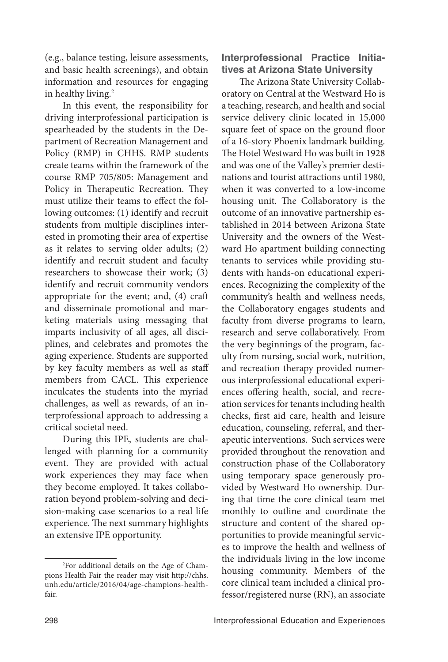(e.g., balance testing, leisure assessments, and basic health screenings), and obtain information and resources for engaging in healthy living.<sup>2</sup>

In this event, the responsibility for driving interprofessional participation is spearheaded by the students in the Department of Recreation Management and Policy (RMP) in CHHS. RMP students create teams within the framework of the course RMP 705/805: Management and Policy in Therapeutic Recreation. They must utilize their teams to effect the following outcomes: (1) identify and recruit students from multiple disciplines interested in promoting their area of expertise as it relates to serving older adults; (2) identify and recruit student and faculty researchers to showcase their work; (3) identify and recruit community vendors appropriate for the event; and, (4) craft and disseminate promotional and marketing materials using messaging that imparts inclusivity of all ages, all disciplines, and celebrates and promotes the aging experience. Students are supported by key faculty members as well as staff members from CACL. This experience inculcates the students into the myriad challenges, as well as rewards, of an interprofessional approach to addressing a critical societal need.

During this IPE, students are challenged with planning for a community event. They are provided with actual work experiences they may face when they become employed. It takes collaboration beyond problem-solving and decision-making case scenarios to a real life experience. The next summary highlights an extensive IPE opportunity.

#### **Interprofessional Practice Initiatives at Arizona State University**

The Arizona State University Collaboratory on Central at the Westward Ho is a teaching, research, and health and social service delivery clinic located in 15,000 square feet of space on the ground floor of a 16-story Phoenix landmark building. The Hotel Westward Ho was built in 1928 and was one of the Valley's premier destinations and tourist attractions until 1980, when it was converted to a low-income housing unit. The Collaboratory is the outcome of an innovative partnership established in 2014 between Arizona State University and the owners of the Westward Ho apartment building connecting tenants to services while providing students with hands-on educational experiences. Recognizing the complexity of the community's health and wellness needs, the Collaboratory engages students and faculty from diverse programs to learn, research and serve collaboratively. From the very beginnings of the program, faculty from nursing, social work, nutrition, and recreation therapy provided numerous interprofessional educational experiences offering health, social, and recreation services for tenants including health checks, first aid care, health and leisure education, counseling, referral, and therapeutic interventions. Such services were provided throughout the renovation and construction phase of the Collaboratory using temporary space generously provided by Westward Ho ownership. During that time the core clinical team met monthly to outline and coordinate the structure and content of the shared opportunities to provide meaningful services to improve the health and wellness of the individuals living in the low income housing community. Members of the core clinical team included a clinical professor/registered nurse (RN), an associate

<sup>2</sup> For additional details on the Age of Champions Health Fair the reader may visit http://chhs. unh.edu/article/2016/04/age-champions-healthfair.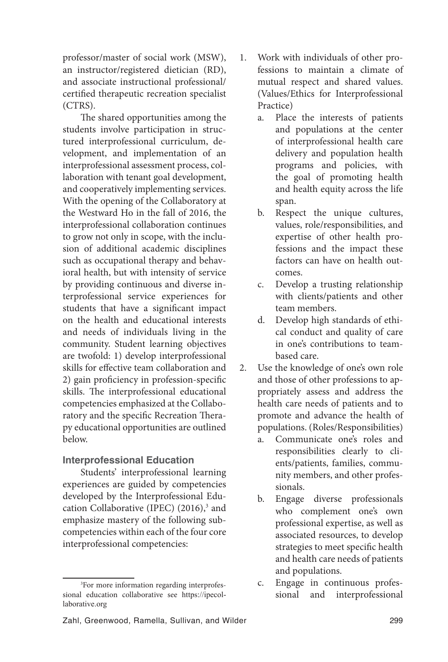professor/master of social work (MSW), an instructor/registered dietician (RD), and associate instructional professional/ certified therapeutic recreation specialist (CTRS).

The shared opportunities among the students involve participation in structured interprofessional curriculum, development, and implementation of an interprofessional assessment process, collaboration with tenant goal development, and cooperatively implementing services. With the opening of the Collaboratory at the Westward Ho in the fall of 2016, the interprofessional collaboration continues to grow not only in scope, with the inclusion of additional academic disciplines such as occupational therapy and behavioral health, but with intensity of service by providing continuous and diverse interprofessional service experiences for students that have a significant impact on the health and educational interests and needs of individuals living in the community. Student learning objectives are twofold: 1) develop interprofessional skills for effective team collaboration and 2) gain proficiency in profession-specific skills. The interprofessional educational competencies emphasized at the Collaboratory and the specific Recreation Therapy educational opportunities are outlined below.

## **Interprofessional Education**

Students' interprofessional learning experiences are guided by competencies developed by the Interprofessional Education Collaborative (IPEC) (2016),<sup>3</sup> and emphasize mastery of the following subcompetencies within each of the four core interprofessional competencies:

- 1. Work with individuals of other professions to maintain a climate of mutual respect and shared values. (Values/Ethics for Interprofessional Practice)
	- a. Place the interests of patients and populations at the center of interprofessional health care delivery and population health programs and policies, with the goal of promoting health and health equity across the life span.
	- b. Respect the unique cultures, values, role/responsibilities, and expertise of other health professions and the impact these factors can have on health outcomes.
	- c. Develop a trusting relationship with clients/patients and other team members.
	- d. Develop high standards of ethical conduct and quality of care in one's contributions to team‐ based care.
- 2. Use the knowledge of one's own role and those of other professions to appropriately assess and address the health care needs of patients and to promote and advance the health of populations. (Roles/Responsibilities)
	- a. Communicate one's roles and responsibilities clearly to clients/patients, families, community members, and other professionals.
	- b. Engage diverse professionals who complement one's own professional expertise, as well as associated resources, to develop strategies to meet specific health and health care needs of patients and populations.
	- c. Engage in continuous professional and interprofessional

<sup>3</sup> For more information regarding interprofessional education collaborative see https://ipecollaborative.org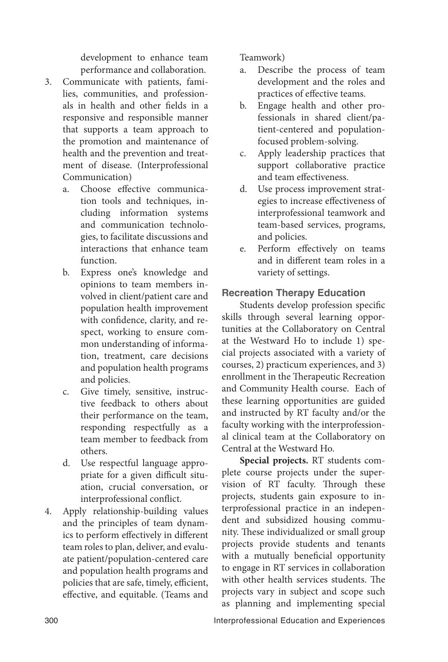development to enhance team performance and collaboration.

- 3. Communicate with patients, families, communities, and professionals in health and other fields in a responsive and responsible manner that supports a team approach to the promotion and maintenance of health and the prevention and treatment of disease. (Interprofessional Communication)
	- a. Choose effective communication tools and techniques, including information systems and communication technologies, to facilitate discussions and interactions that enhance team function.
	- b. Express one's knowledge and opinions to team members involved in client/patient care and population health improvement with confidence, clarity, and respect, working to ensure common understanding of information, treatment, care decisions and population health programs and policies.
	- c. Give timely, sensitive, instructive feedback to others about their performance on the team, responding respectfully as a team member to feedback from others.
	- d. Use respectful language appropriate for a given difficult situation, crucial conversation, or interprofessional conflict.
- 4. Apply relationship-building values and the principles of team dynamics to perform effectively in different team roles to plan, deliver, and evaluate patient/population-centered care and population health programs and policies that are safe, timely, efficient, effective, and equitable. (Teams and

Teamwork)

- a. Describe the process of team development and the roles and practices of effective teams.
- b. Engage health and other professionals in shared client/patient‐centered and populationfocused problem‐solving.
- c. Apply leadership practices that support collaborative practice and team effectiveness.
- d. Use process improvement strategies to increase effectiveness of interprofessional teamwork and team‐based services, programs, and policies.
- e. Perform effectively on teams and in different team roles in a variety of settings.

# **Recreation Therapy Education**

Students develop profession specific skills through several learning opportunities at the Collaboratory on Central at the Westward Ho to include 1) special projects associated with a variety of courses, 2) practicum experiences, and 3) enrollment in the Therapeutic Recreation and Community Health course. Each of these learning opportunities are guided and instructed by RT faculty and/or the faculty working with the interprofessional clinical team at the Collaboratory on Central at the Westward Ho.

**Special projects.** RT students complete course projects under the supervision of RT faculty. Through these projects, students gain exposure to interprofessional practice in an independent and subsidized housing community. These individualized or small group projects provide students and tenants with a mutually beneficial opportunity to engage in RT services in collaboration with other health services students. The projects vary in subject and scope such as planning and implementing special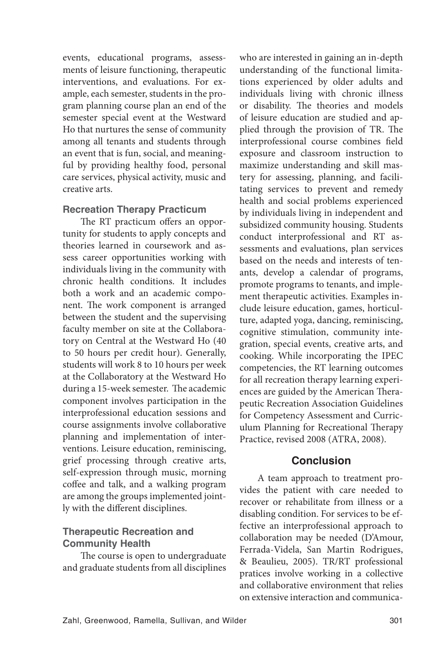events, educational programs, assessments of leisure functioning, therapeutic interventions, and evaluations. For example, each semester, students in the program planning course plan an end of the semester special event at the Westward Ho that nurtures the sense of community among all tenants and students through an event that is fun, social, and meaningful by providing healthy food, personal care services, physical activity, music and creative arts.

#### **Recreation Therapy Practicum**

The RT practicum offers an opportunity for students to apply concepts and theories learned in coursework and assess career opportunities working with individuals living in the community with chronic health conditions. It includes both a work and an academic component. The work component is arranged between the student and the supervising faculty member on site at the Collaboratory on Central at the Westward Ho (40 to 50 hours per credit hour). Generally, students will work 8 to 10 hours per week at the Collaboratory at the Westward Ho during a 15-week semester. The academic component involves participation in the interprofessional education sessions and course assignments involve collaborative planning and implementation of interventions. Leisure education, reminiscing, grief processing through creative arts, self-expression through music, morning coffee and talk, and a walking program are among the groups implemented jointly with the different disciplines.

## **Therapeutic Recreation and Community Health**

The course is open to undergraduate and graduate students from all disciplines who are interested in gaining an in-depth understanding of the functional limitations experienced by older adults and individuals living with chronic illness or disability. The theories and models of leisure education are studied and applied through the provision of TR. The interprofessional course combines field exposure and classroom instruction to maximize understanding and skill mastery for assessing, planning, and facilitating services to prevent and remedy health and social problems experienced by individuals living in independent and subsidized community housing. Students conduct interprofessional and RT assessments and evaluations, plan services based on the needs and interests of tenants, develop a calendar of programs, promote programs to tenants, and implement therapeutic activities. Examples include leisure education, games, horticulture, adapted yoga, dancing, reminiscing, cognitive stimulation, community integration, special events, creative arts, and cooking. While incorporating the IPEC competencies, the RT learning outcomes for all recreation therapy learning experiences are guided by the American Therapeutic Recreation Association Guidelines for Competency Assessment and Curriculum Planning for Recreational Therapy Practice, revised 2008 (ATRA, 2008).

## **Conclusion**

A team approach to treatment provides the patient with care needed to recover or rehabilitate from illness or a disabling condition. For services to be effective an interprofessional approach to collaboration may be needed (D'Amour, Ferrada-Videla, San Martin Rodrigues, & Beaulieu, 2005). TR/RT professional pratices involve working in a collective and collaborative environment that relies on extensive interaction and communica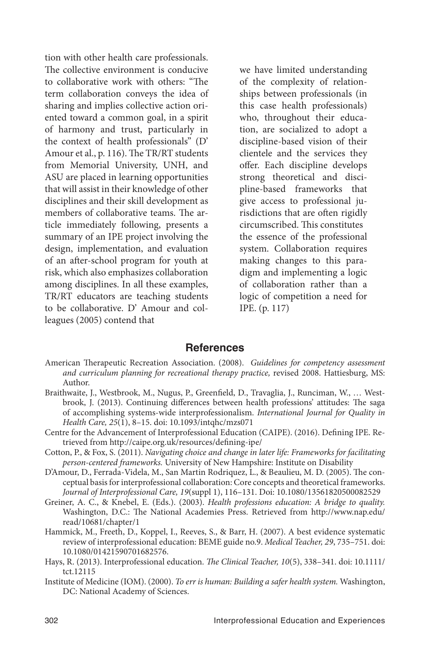tion with other health care professionals. The collective environment is conducive to collaborative work with others: "The term collaboration conveys the idea of sharing and implies collective action oriented toward a common goal, in a spirit of harmony and trust, particularly in the context of health professionals" (D' Amour et al., p. 116). The TR/RT students from Memorial University, UNH, and ASU are placed in learning opportunities that will assist in their knowledge of other disciplines and their skill development as members of collaborative teams. The article immediately following, presents a summary of an IPE project involving the design, implementation, and evaluation of an after-school program for youth at risk, which also emphasizes collaboration among disciplines. In all these examples, TR/RT educators are teaching students to be collaborative. D' Amour and colleagues (2005) contend that

we have limited understanding of the complexity of relationships between professionals (in this case health professionals) who, throughout their education, are socialized to adopt a discipline-based vision of their clientele and the services they offer. Each discipline develops strong theoretical and discipline-based frameworks that give access to professional jurisdictions that are often rigidly circumscribed. This constitutes the essence of the professional system. Collaboration requires making changes to this paradigm and implementing a logic of collaboration rather than a logic of competition a need for IPE. (p. 117)

#### **References**

- American Therapeutic Recreation Association. (2008). *Guidelines for competency assessment and curriculum planning for recreational therapy practice,* revised 2008. Hattiesburg, MS: Author.
- Braithwaite, J., Westbrook, M., Nugus, P., Greenfield, D., Travaglia, J., Runciman, W., … Westbrook, J. (2013). Continuing differences between health professions' attitudes: The saga of accomplishing systems-wide interprofessionalism. *International Journal for Quality in Health Care, 25*(1), 8–15. doi: 10.1093/intqhc/mzs071
- Centre for the Advancement of Interprofessional Education (CAIPE). (2016). Defining IPE. Retrieved from http://caipe.org.uk/resources/defining-ipe/
- Cotton, P., & Fox, S. (2011). *Navigating choice and change in later life: Frameworks for facilitating person-centered frameworks.* University of New Hampshire: Institute on Disability
- D'Amour, D., Ferrada-Videla, M., San Martin Rodriquez, L., & Beaulieu, M. D. (2005). The conceptual basis for interprofessional collaboration: Core concepts and theoretical frameworks. *Journal of Interprofessional Care, 19*(suppl 1), 116–131. Doi: 10.1080/13561820500082529
- Greiner, A. C., & Knebel, E. (Eds.). (2003). *Health professions education: A bridge to quality.*  Washington, D.C.: The National Academies Press. Retrieved from http://www.nap.edu/ read/10681/chapter/1
- Hammick, M., Freeth, D., Koppel, I., Reeves, S., & Barr, H. (2007). A best evidence systematic review of interprofessional education: BEME guide no.9. *Medical Teacher, 29*, 735–751. doi: 10.1080/01421590701682576.
- Hays, R. (2013). Interprofessional education. *The Clinical Teacher, 10*(5), 338–341. doi: 10.1111/ tct.12115
- Institute of Medicine (IOM). (2000). *To err is human: Building a safer health system.* Washington, DC: National Academy of Sciences.